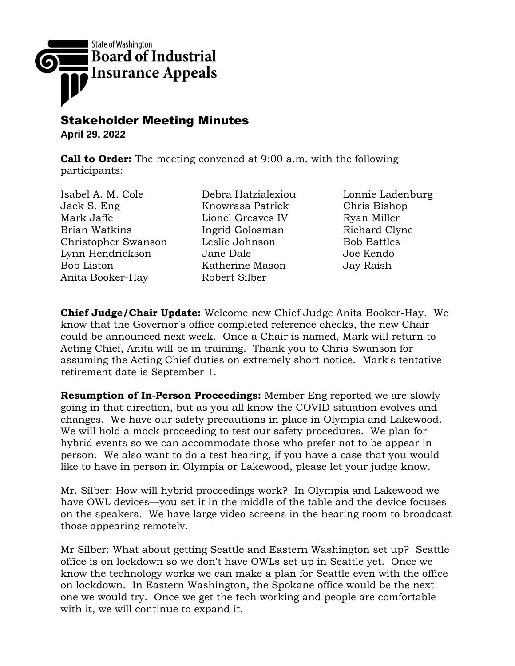

## Stakeholder Meeting Minutes

**April 29, 2022**

**Call to Order:** The meeting convened at 9:00 a.m. with the following participants:

Isabel A. M. Cole Jack S. Eng Mark Jaffe Brian Watkins Christopher Swanson Lynn Hendrickson Bob Liston Anita Booker-Hay

Debra Hatzialexiou Knowrasa Patrick Lionel Greaves IV Ingrid Golosman Leslie Johnson Jane Dale Katherine Mason Robert Silber

Lonnie Ladenburg Chris Bishop Ryan Miller Richard Clyne Bob Battles Joe Kendo Jay Raish

**Chief Judge/Chair Update:** Welcome new Chief Judge Anita Booker-Hay. We know that the Governor's office completed reference checks, the new Chair could be announced next week. Once a Chair is named, Mark will return to Acting Chief, Anita will be in training. Thank you to Chris Swanson for assuming the Acting Chief duties on extremely short notice. Mark's tentative retirement date is September 1.

**Resumption of In-Person Proceedings:** Member Eng reported we are slowly going in that direction, but as you all know the COVID situation evolves and changes. We have our safety precautions in place in Olympia and Lakewood. We will hold a mock proceeding to test our safety procedures. We plan for hybrid events so we can accommodate those who prefer not to be appear in person. We also want to do a test hearing, if you have a case that you would like to have in person in Olympia or Lakewood, please let your judge know.

Mr. Silber: How will hybrid proceedings work? In Olympia and Lakewood we have OWL devices—you set it in the middle of the table and the device focuses on the speakers. We have large video screens in the hearing room to broadcast those appearing remotely.

Mr Silber: What about getting Seattle and Eastern Washington set up? Seattle office is on lockdown so we don't have OWLs set up in Seattle yet. Once we know the technology works we can make a plan for Seattle even with the office on lockdown. In Eastern Washington, the Spokane office would be the next one we would try. Once we get the tech working and people are comfortable with it, we will continue to expand it.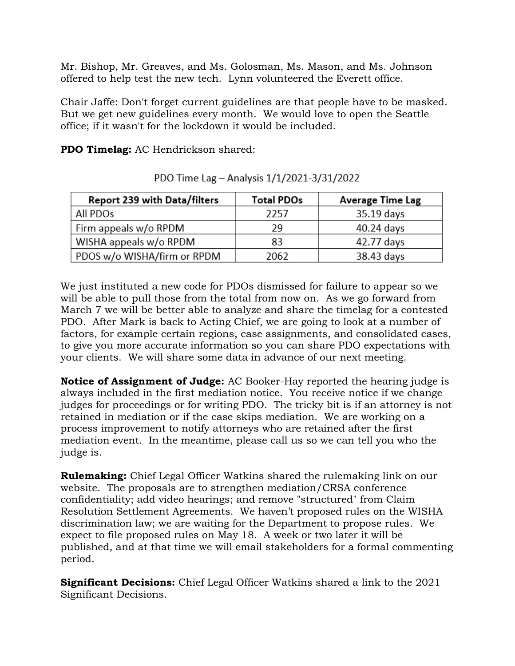Mr. Bishop, Mr. Greaves, and Ms. Golosman, Ms. Mason, and Ms. Johnson offered to help test the new tech. Lynn volunteered the Everett office.

Chair Jaffe: Don't forget current guidelines are that people have to be masked. But we get new guidelines every month. We would love to open the Seattle office; if it wasn't for the lockdown it would be included.

**PDO Timelag:** AC Hendrickson shared:

| Report 239 with Data/filters | <b>Total PDOs</b> | <b>Average Time Lag</b> |
|------------------------------|-------------------|-------------------------|
| All PDO <sub>S</sub>         | 2257              | 35.19 days              |
| Firm appeals w/o RPDM        | 29                | 40.24 days              |
| WISHA appeals w/o RPDM       | 83                | 42.77 days              |
| PDOS w/o WISHA/firm or RPDM  | 2062              | 38.43 days              |

PDO Time Lag - Analysis 1/1/2021-3/31/2022

We just instituted a new code for PDOs dismissed for failure to appear so we will be able to pull those from the total from now on. As we go forward from March 7 we will be better able to analyze and share the timelag for a contested PDO. After Mark is back to Acting Chief, we are going to look at a number of factors, for example certain regions, case assignments, and consolidated cases, to give you more accurate information so you can share PDO expectations with your clients. We will share some data in advance of our next meeting.

**Notice of Assignment of Judge:** AC Booker-Hay reported the hearing judge is always included in the first mediation notice. You receive notice if we change judges for proceedings or for writing PDO. The tricky bit is if an attorney is not retained in mediation or if the case skips mediation. We are working on a process improvement to notify attorneys who are retained after the first mediation event. In the meantime, please call us so we can tell you who the judge is.

**Rulemaking:** Chief Legal Officer Watkins shared the rulemaking link on our website. The proposals are to strengthen mediation/CRSA conference confidentiality; add video hearings; and remove "structured" from Claim Resolution Settlement Agreements. We haven't proposed rules on the WISHA discrimination law; we are waiting for the Department to propose rules. We expect to file proposed rules on May 18. A week or two later it will be published, and at that time we will email stakeholders for a formal commenting period.

**Significant Decisions:** Chief Legal Officer Watkins shared a link to the 2021 Significant Decisions.